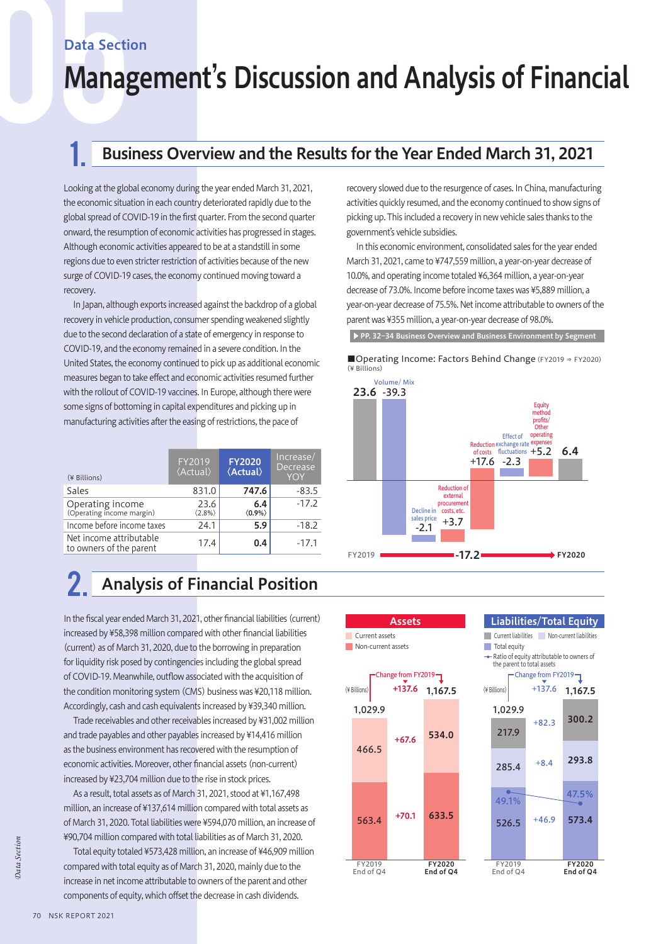### Data Section

# Management's Discussion and Analysis of Financial

## 1 . Business Overview and the Results for the Year Ended March 31, 2021

Looking at the global economy during the year ended March 31, 2021, the economic situation in each country deteriorated rapidly due to the global spread of COVID-19 in the first quarter. From the second quarter onward, the resumption of economic activities has progressed in stages. Although economic activities appeared to be at a standstill in some regions due to even stricter restriction of activities because of the new surge of COVID-19 cases, the economy continued moving toward a recovery.

In Japan, although exports increased against the backdrop of a global recovery in vehicle production, consumer spending weakened slightly due to the second declaration of a state of emergency in response to COVID-19, and the economy remained in a severe condition. In the United States, the economy continued to pick up as additional economic measures began to take effect and economic activities resumed further with the rollout of COVID-19 vaccines. In Europe, although there were some signs of bottoming in capital expenditures and picking up in manufacturing activities after the easing of restrictions, the pace of

| (¥ Billions)                                       | FY2019<br><b><i><u></u></i></b> <i>(Actual)</i> | <b>FY2020</b><br><b><i><u></u></i></b> <i>(Actual)</i> | Increase/<br>Decrease<br><b>YOY</b> |
|----------------------------------------------------|-------------------------------------------------|--------------------------------------------------------|-------------------------------------|
| Sales                                              | 831.0                                           | 747.6                                                  | $-83.5$                             |
| Operating income<br>(Operating income margin)      | 23.6<br>$\langle 2.8\% \rangle$                 | 6.4<br>$\langle 0.9\% \rangle$                         | $-17.2$                             |
| Income before income taxes                         | 24.1                                            | 5.9                                                    | $-18.2$                             |
| Net income attributable<br>to owners of the parent | 17.4                                            | 0.4                                                    | $-17.1$                             |

## 2. Analysis of Financial Position

In the fiscal year ended March 31, 2021, other financial liabilities (current) increased by ¥58,398 million compared with other financial liabilities (current) as of March 31, 2020, due to the borrowing in preparation for liquidity risk posed by contingencies including the global spread of COVID-19. Meanwhile, outflow associated with the acquisition of the condition monitoring system (CMS) business was ¥20,118 million. Accordingly, cash and cash equivalents increased by ¥39,340 million.

Trade receivables and other receivables increased by ¥31,002 million and trade payables and other payables increased by ¥14,416 million as the business environment has recovered with the resumption of economic activities. Moreover, other financial assets (non-current) increased by ¥23,704 million due to the rise in stock prices.

As a result, total assets as of March 31, 2021, stood at ¥1,167,498 million, an increase of ¥137,614 million compared with total assets as of March 31, 2020. Total liabilities were ¥594,070 million, an increase of ¥90,704 million compared with total liabilities as of March 31, 2020.

Total equity totaled ¥573,428 million, an increase of ¥46,909 million compared with total equity as of March 31, 2020, mainly due to the increase in net income attributable to owners of the parent and other components of equity, which offset the decrease in cash dividends.

recovery slowed due to the resurgence of cases. In China, manufacturing activities quickly resumed, and the economy continued to show signs of picking up. This included a recovery in new vehicle sales thanks to the government's vehicle subsidies.

In this economic environment, consolidated sales for the year ended March 31, 2021, came to ¥747,559 million, a year-on-year decrease of 10.0%, and operating income totaled ¥6,364 million, a year-on-year decrease of 73.0%. Income before income taxes was ¥5,889 million, a year-on-year decrease of 75.5%. Net income attributable to owners of the parent was ¥355 million, a year-on-year decrease of 98.0%.

▶PP. 32−34 Business Overview and Business Environment by Segment

■Operating Income: Factors Behind Change (FY2019 ⇒ FY2020)  $(4$  Billions)